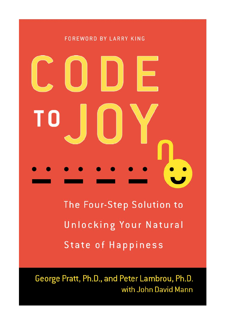FOREWORD BY LARRY KING

# T

The Four-Step Solution to **Unlocking Your Natural State of Happiness** 

George Pratt, Ph.D., and Peter Lambrou, Ph.D. with John David Mann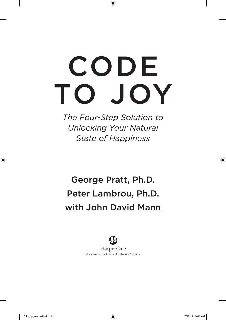# CODE to Joy

*The Four-Step Solution to Unlocking Your Natural State of Happiness*

# George Pratt, Ph.D. Peter Lambrou, Ph.D. with John David Mann



HarperOne *An Imprint of* HarperCollins*Publishers*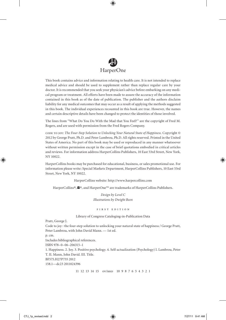

This book contains advice and information relating to health care. It is not intended to replace medical advice and should be used to supplement rather than replace regular care by your doctor. It is recommended that you seek your physician's advice before embarking on any medical program or treatment. All efforts have been made to assure the accuracy of the information contained in this book as of the date of publication. The publisher and the authors disclaim liability for any medical outcomes that may occur as a result of applying the methods suggested in this book. The individual experiences recounted in this book are true. However, the names and certain descriptive details have been changed to protect the identities of those involved.

The lines from "What Do You Do With the Mad that You Feel?" are the copyright of Fred M. Rogers, and are used with permission from the Fred Rogers Company.

code to joy: *The Four-Step Solution to Unlocking Your Natural State of Happiness.* Copyright © 2012 by George Pratt, Ph.D. and Peter Lambrou, Ph.D. All rights reserved. Printed in the United States of America. No part of this book may be used or reproduced in any manner whatsoever without written permission except in the case of brief quotations embodied in critical articles and reviews. For information address HarperCollins Publishers, 10 East 53rd Street, New York, NY 10022.

HarperCollins books may be purchased for educational, business, or sales promotional use. For information please write: Special Markets Department, HarperCollins Publishers, 10 East 53rd Street, New York, NY 10022.

HarperCollins website: http://www.harpercollins.com

HarperCollins®, <sup>49</sup>®, and HarperOne™ are trademarks of HarperCollins Publishers.

*Design by Level C Illustrations by Dwight Been*

### first edition

Library of Congress Cataloging-in-Publication Data

Pratt, George J.

Code to joy : the four-step solution to unlocking your natural state of happiness / George Pratt, Peter Lambrou, with John David Mann. — 1st ed.

p. cm.

Includes bibliographical references.

ISBN 978–0–06–206315–1

1. Happiness. 2. Joy. 3. Positive psychology. 4. Self-actualization (Psychology) I. Lambrou, Peter T. II. Mann, John David. III. Title.

BF575.H27P735 2012

158.1—dc23 2011024396

11 12 13 14 15 ov/rrd 10 9 8 7 6 5 4 3 2 1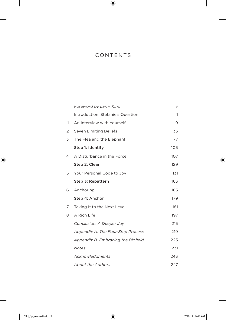## **CONTENTS**

|   | Foreword by Larry King             | V   |
|---|------------------------------------|-----|
|   | Introduction: Stefanie's Question  | 1   |
| 1 | An Interview with Yourself         | 9   |
| 2 | Seven Limiting Beliefs             | 33  |
| 3 | The Flea and the Elephant          | 77  |
|   | Step 1: Identify                   | 105 |
| 4 | A Disturbance in the Force         | 107 |
|   | Step 2: Clear                      | 129 |
| 5 | Your Personal Code to Joy          | 131 |
|   | Step 3: Repattern                  | 163 |
| 6 | Anchoring                          | 165 |
|   | Step 4: Anchor                     | 179 |
| 7 | Taking It to the Next Level        | 181 |
| 8 | A Rich Life                        | 197 |
|   | <b>Conclusion: A Deeper Joy</b>    | 215 |
|   | Appendix A. The Four-Step Process  | 219 |
|   | Appendix B. Embracing the Biofield | 225 |
|   | <b>Notes</b>                       | 231 |
|   | Acknowledgments                    | 243 |
|   | <b>About the Authors</b>           | 247 |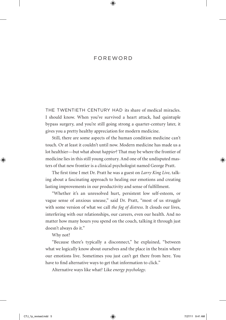### **FORFWORD**

THE TWENTIETH CENTURY HAD its share of medical miracles. I should know. When you've survived a heart attack, had quintuple bypass surgery, and you're still going strong a quarter-century later, it gives you a pretty healthy appreciation for modern medicine.

Still, there are some aspects of the human condition medicine can't touch. Or at least it couldn't until now. Modern medicine has made us a lot healthier—but what about *happier*? That may be where the frontier of medicine lies in this still young century. And one of the undisputed masters of that new frontier is a clinical psychologist named George Pratt.

The first time I met Dr. Pratt he was a guest on *Larry King Live,* talking about a fascinating approach to healing our emotions and creating lasting improvements in our productivity and sense of fulfillment.

"Whether it's an unresolved hurt, persistent low self-esteem, or vague sense of anxious unease," said Dr. Pratt, "most of us struggle with some version of what we call *the fog of distress*. It clouds our lives, interfering with our relationships, our careers, even our health. And no matter how many hours you spend on the couch, talking it through just doesn't always do it."

Why not?

"Because there's typically a disconnect," he explained, "between what we logically know about ourselves and the place in the brain where our emotions live. Sometimes you just can't get there from here. You have to find alternative ways to get that information to click."

Alternative ways like what? Like *energy psychology*.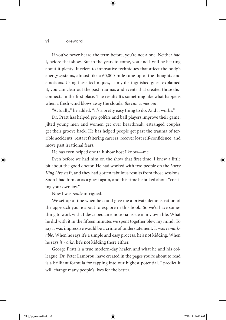If you've never heard the term before, you're not alone. Neither had I, before that show. But in the years to come, you and I will be hearing about it plenty. It refers to innovative techniques that affect the body's energy systems, almost like a 60,000-mile tune-up of the thoughts and emotions. Using these techniques, as my distinguished guest explained it, you can clear out the past traumas and events that created those disconnects in the first place. The result? It's something like what happens when a fresh wind blows away the clouds: *the sun comes out*.

"Actually," he added, "it's a pretty easy thing to do. And it works."

Dr. Pratt has helped pro golfers and ball players improve their game, jilted young men and women get over heartbreak, estranged couples get their groove back. He has helped people get past the trauma of terrible accidents, restart faltering careers, recover lost self-confidence, and move past irrational fears.

He has even helped one talk show host I know—me.

Even before we had him on the show that first time, I knew a little bit about the good doctor. He had worked with two people on the *Larry King Live* staff, and they had gotten fabulous results from those sessions. Soon I had him on as a guest again, and this time he talked about "creating your own joy."

Now I was *really* intrigued.

We set up a time when he could give me a private demonstration of the approach you're about to explore in this book. So we'd have something to work with, I described an emotional issue in my own life. What he did with it in the fifteen minutes we spent together blew my mind. To say it was impressive would be a crime of understatement. It was *remarkable*. When he says it's a simple and easy process, he's not kidding. When he says *it works,* he's not kidding there either.

George Pratt is a true modern-day healer, and what he and his colleague, Dr. Peter Lambrou, have created in the pages you're about to read is a brilliant formula for tapping into our highest potential. I predict it will change many people's lives for the better.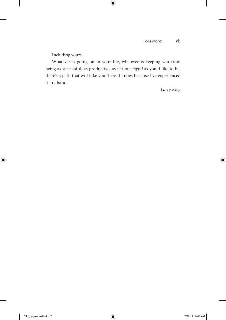Including yours.

Whatever is going on in your life, whatever is keeping you from being as successful, as productive, as flat-out *joyful* as you'd like to be, there's a path that will take you there. I know, because I've experienced it firsthand.

*Larry King*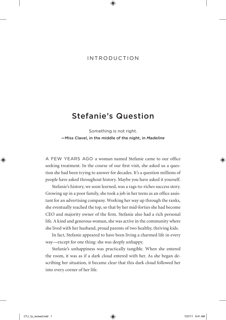### Int r o d u c ti o n

# Stefanie's Question

Something is not right. —Miss Clavel, in the middle of the night, in *Madeline*

A FEW YEARS AGO a woman named Stefanie came to our office seeking treatment. In the course of our first visit, she asked us a question she had been trying to answer for decades. It's a question millions of people have asked throughout history. Maybe you have asked it yourself.

Stefanie's history, we soon learned, was a rags-to-riches success story. Growing up in a poor family, she took a job in her teens as an office assistant for an advertising company. Working her way up through the ranks, she eventually reached the top, so that by her mid-forties she had become CEO and majority owner of the firm. Stefanie also had a rich personal life. A kind and generous woman, she was active in the community where she lived with her husband, proud parents of two healthy, thriving kids.

In fact, Stefanie appeared to have been living a charmed life in every way—except for one thing: she was deeply unhappy.

Stefanie's unhappiness was practically tangible. When she entered the room, it was as if a dark cloud entered with her. As she began describing her situation, it became clear that this dark cloud followed her into every corner of her life.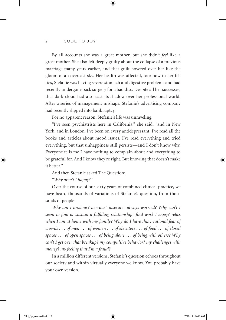By all accounts she was a great mother, but she didn't *feel* like a great mother. She also felt deeply guilty about the collapse of a previous marriage many years earlier, and that guilt hovered over her like the gloom of an overcast sky. Her health was affected, too: now in her fifties, Stefanie was having severe stomach and digestive problems and had recently undergone back surgery for a bad disc. Despite all her successes, that dark cloud had also cast its shadow over her professional world. After a series of management mishaps, Stefanie's advertising company had recently slipped into bankruptcy.

For no apparent reason, Stefanie's life was unraveling.

"I've seen psychiatrists here in California," she said, "and in New York, and in London. I've been on every antidepressant. I've read all the books and articles about mood issues. I've read everything and tried everything, but that unhappiness still persists—and I don't know why. Everyone tells me I have nothing to complain about and everything to be grateful for. And I know they're right. But knowing that doesn't make it better."

And then Stefanie asked The Question:

*"Why aren't I happy?"*

Over the course of our sixty years of combined clinical practice, we have heard thousands of variations of Stefanie's question, from thousands of people:

*Why am I anxious? nervous? insecure? always worried? Why can't I seem to find or sustain a fulfilling relationship? find work I enjoy? relax when I am at home with my family? Why do I have this irrational fear of crowds . . . of men . . . of women . . . of elevators . . . of food . . . of closed spaces . . . of open spaces . . . of being alone . . . of being with others? Why can't I get over that breakup? my compulsive behavior? my challenges with money? my feeling that I'm a fraud?*

In a million different versions, Stefanie's question echoes throughout our society and within virtually everyone we know. You probably have your own version.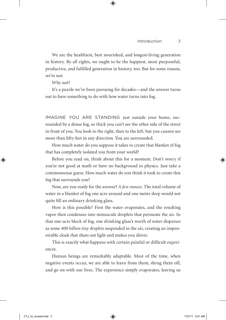We are the healthiest, best nourished, and longest-living generation in history. By all rights, we ought to be the happiest, most purposeful, productive, and fulfilled generation in history, too. But for some reason, we're not.

Why not?

It's a puzzle we've been pursuing for decades—and the answer turns out to have something to do with how water turns into fog.

IMAGINE YOU ARE STANDING just outside your home, surrounded by a dense fog, so thick you can't see the other side of the street in front of you. You look to the right, then to the left, but you cannot see more than fifty feet in any direction. You are surrounded.

How much water do you suppose it takes to create that blanket of fog that has completely isolated you from your world?

Before you read on, think about this for a moment. Don't worry if you're not good at math or have no background in physics. Just take a commonsense guess. How much water do you think it took to create this fog that surrounds you?

Now, are you ready for the answer? *A few ounces*. The total volume of water in a blanket of fog one acre around and one meter deep would not quite fill an ordinary drinking glass.

How is this possible? First the water evaporates, and the resulting vapor then condenses into minuscule droplets that permeate the air. In that one-acre block of fog, one drinking glass's worth of water disperses as some *400 billion tiny droplets* suspended in the air, creating an impenetrable cloak that shuts out light and makes you shiver.

This is exactly what happens with certain painful or difficult experiences.

Human beings are remarkably adaptable. Most of the time, when negative events occur, we are able to learn from them, shrug them off, and go on with our lives. The experience simply evaporates, leaving us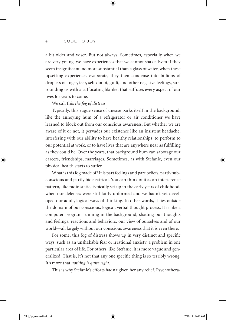a bit older and wiser. But not always. Sometimes, especially when we are very young, we have experiences that we cannot shake. Even if they seem insignificant, no more substantial than a glass of water, when these upsetting experiences evaporate, they then condense into billions of droplets of anger, fear, self-doubt, guilt, and other negative feelings, surrounding us with a suffocating blanket that suffuses every aspect of our lives for years to come.

### We call this *the fog of distress*.

Typically, this vague sense of unease parks itself in the background, like the annoying hum of a refrigerator or air conditioner we have learned to block out from our conscious awareness. But whether we are aware of it or not, it pervades our existence like an insistent headache, interfering with our ability to have healthy relationships, to perform to our potential at work, or to have lives that are anywhere near as fulfilling as they could be. Over the years, that background hum can sabotage our careers, friendships, marriages. Sometimes, as with Stefanie, even our physical health starts to suffer.

What is this fog made of? It is part feelings and part beliefs, partly subconscious and partly bioelectrical. You can think of it as an interference pattern, like radio static, typically set up in the early years of childhood, when our defenses were still fairly unformed and we hadn't yet developed our adult, logical ways of thinking. In other words, it lies outside the domain of our conscious, logical, verbal thought process. It is like a computer program running in the background, shading our thoughts and feelings, reactions and behaviors, our view of ourselves and of our world—all largely without our conscious awareness that it is even there.

For some, this fog of distress shows up in very distinct and specific ways, such as an unshakable fear or irrational anxiety, a problem in one particular area of life. For others, like Stefanie, it is more vague and generalized. That is, it's not that any one specific thing is so terribly wrong. It's more that *nothing is quite right*.

This is why Stefanie's efforts hadn't given her any relief. Psychothera-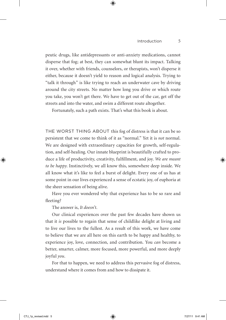peutic drugs, like antidepressants or anti-anxiety medications, cannot disperse that fog; at best, they can somewhat blunt its impact. Talking it over, whether with friends, counselors, or therapists, won't disperse it either, because it doesn't yield to reason and logical analysis. Trying to "talk it through" is like trying to reach an underwater cave by driving around the city streets. No matter how long you drive or which route you take, you won't get there. We have to get out of the car, get off the streets and into the water, and swim a different route altogether.

Fortunately, such a path exists. That's what this book is about.

THE WORST THING ABOUT this fog of distress is that it can be so persistent that we come to think of it as "normal." Yet it is *not* normal. We are designed with extraordinary capacities for growth, self-regulation, and self-healing. Our innate blueprint is beautifully crafted to produce a life of productivity, creativity, fulfillment, and joy. *We are meant to be happy*. Instinctively, we all know this, somewhere deep inside. We all know what it's like to feel a burst of delight. Every one of us has at some point in our lives experienced a sense of ecstatic joy, of euphoria at the sheer sensation of being alive.

Have you ever wondered why that experience has to be so rare and fleeting?

The answer is, *It doesn't*.

Our clinical experiences over the past few decades have shown us that it *is* possible to regain that sense of childlike delight at living and to live our lives to the fullest. As a result of this work, we have come to believe that we are all here on this earth to be happy and healthy, to experience joy, love, connection, and contribution. You *can* become a better, smarter, calmer, more focused, more powerful, and more deeply joyful *you*.

For that to happen, we need to address this pervasive fog of distress, understand where it comes from and how to dissipate it.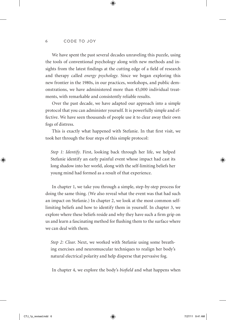We have spent the past several decades unraveling this puzzle, using the tools of conventional psychology along with new methods and insights from the latest findings at the cutting edge of a field of research and therapy called *energy psychology*. Since we began exploring this new frontier in the 1980s, in our practices, workshops, and public demonstrations, we have administered more than 45,000 individual treatments, with remarkable and consistently reliable results.

Over the past decade, we have adapted our approach into a simple protocol that you can administer yourself. It is powerfully simple and effective. We have seen thousands of people use it to clear away their own fogs of distress.

This is exactly what happened with Stefanie. In that first visit, we took her through the four steps of this simple protocol:

*Step 1: Identify*. First, looking back through her life, we helped Stefanie identify an early painful event whose impact had cast its long shadow into her world, along with the self-limiting beliefs her young mind had formed as a result of that experience.

In chapter 1, we take you through a simple, step-by-step process for doing the same thing. (We also reveal what the event was that had such an impact on Stefanie.) In chapter 2, we look at the most common selflimiting beliefs and how to identify them in yourself. In chapter 3, we explore where these beliefs reside and why they have such a firm grip on us and learn a fascinating method for flushing them to the surface where we can deal with them.

*Step 2: Clear*. Next, we worked with Stefanie using some breathing exercises and neuromuscular techniques to realign her body's natural electrical polarity and help disperse that pervasive fog.

In chapter 4, we explore the body's *biofield* and what happens when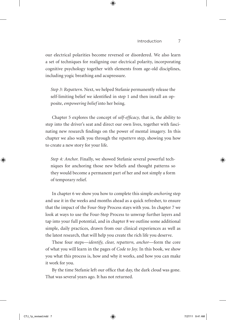our electrical polarities become reversed or disordered. We also learn a set of techniques for realigning our electrical polarity, incorporating cognitive psychology together with elements from age-old disciplines, including yogic breathing and acupressure.

*Step 3: Repattern*. Next, we helped Stefanie permanently release the self-limiting belief we identified in step 1 and then install an opposite, *empowering belief* into her being.

Chapter 5 explores the concept of *self-efficacy,* that is, the ability to step into the driver's seat and direct our own lives, together with fascinating new research findings on the power of mental imagery. In this chapter we also walk you through the *repattern* step, showing you how to create a new story for your life.

*Step 4: Anchor*. Finally, we showed Stefanie several powerful techniques for anchoring those new beliefs and thought patterns so they would become a permanent part of her and not simply a form of temporary relief.

In chapter 6 we show you how to complete this simple *anchoring* step and use it in the weeks and months ahead as a quick refresher, to ensure that the impact of the Four-Step Process stays with you. In chapter 7 we look at ways to use the Four-Step Process to unwrap further layers and tap into your full potential, and in chapter 8 we outline some additional simple, daily practices, drawn from our clinical experiences as well as the latest research, that will help you create the rich life you deserve.

These four steps—*identify, clear, repattern, anchor*—form the core of what you will learn in the pages of *Code to Joy*. In this book, we show you what this process is, how and why it works, and how you can make it work for you.

By the time Stefanie left our office that day, the dark cloud was gone. That was several years ago. It has not returned.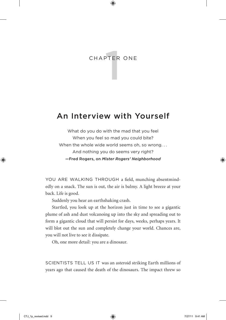# PTER<br>|<br>| CHAPTER ONE

# An Interview with Yourself

What do you do with the mad that you feel When you feel so mad you could bite? When the whole wide world seems oh, so wrong... And nothing you do seems very right? —Fred Rogers, on *Mister Rogers' Neighborhood*

YOU ARE WALKING THROUGH a field, munching absentmindedly on a snack. The sun is out, the air is balmy. A light breeze at your back. Life is good.

Suddenly you hear an earthshaking crash.

Startled, you look up at the horizon just in time to see a gigantic plume of ash and dust volcanoing up into the sky and spreading out to form a gigantic cloud that will persist for days, weeks, perhaps years. It will blot out the sun and completely change your world. Chances are, you will not live to see it dissipate.

Oh, one more detail: you are a dinosaur.

SCIENTISTS TELL US IT was an asteroid striking Earth millions of years ago that caused the death of the dinosaurs. The impact threw so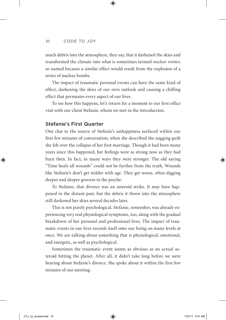much debris into the atmosphere, they say, that it darkened the skies and transformed the climate into what is sometimes termed *nuclear winter,* so named because a similar effect would result from the explosion of a series of nuclear bombs.

The impact of traumatic personal events can have the same kind of effect, darkening the skies of our own outlook and causing a chilling effect that permeates every aspect of our lives.

To see how this happens, let's return for a moment to our first office visit with our client Stefanie, whom we met in the introduction.

### Stefanie's First Quarter

One clue to the source of Stefanie's unhappiness surfaced within our first few minutes of conversation, when she described the nagging guilt she felt over the collapse of her first marriage. Though it had been many years since this happened, her feelings were as strong now as they had been then. In fact, in many ways they were stronger. The old saying "Time heals all wounds" could not be further from the truth. Wounds like Stefanie's don't get milder with age. They get worse, often digging deeper and deeper grooves in the psyche.

To Stefanie, that divorce was an asteroid strike. It may have happened in the distant past, but the debris it threw into the atmosphere still darkened her skies several decades later.

This is not purely psychological. Stefanie, remember, was already experiencing very real physiological symptoms, too, along with the gradual breakdown of her personal and professional lives. The impact of traumatic events in our lives records itself onto our being on many levels at once. We are talking about something that is physiological, emotional, and energetic, as well as psychological.

Sometimes the traumatic event seems as obvious as an actual asteroid hitting the planet. After all, it didn't take long before we were hearing about Stefanie's divorce. She spoke about it within the first few minutes of our meeting.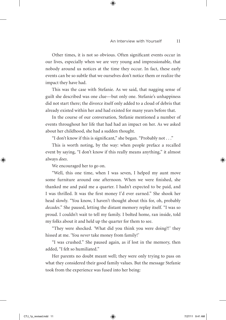Other times, it is not so obvious. Often significant events occur in our lives, especially when we are very young and impressionable, that nobody around us notices at the time they occur. In fact, these early events can be so subtle that we ourselves don't notice them or realize the impact they have had.

This was the case with Stefanie. As we said, that nagging sense of guilt she described was one clue—but only one. Stefanie's unhappiness did not start there; the divorce itself only added to a cloud of debris that already existed within her and had existed for many years before that.

In the course of our conversation, Stefanie mentioned a number of events throughout her life that had had an impact on her. As we asked about her childhood, she had a sudden thought.

"I don't know if this is significant," she began. "Probably not . . ."

This is worth noting, by the way: when people preface a recalled event by saying, "I don't know if this really means anything," it almost always *does*.

We encouraged her to go on.

"Well, this one time, when I was seven, I helped my aunt move some furniture around one afternoon. When we were finished, she thanked me and paid me a quarter. I hadn't expected to be paid, and I was thrilled. It was the first money I'd ever earned." She shook her head slowly. "You know, I haven't thought about this for, oh, probably *decades*." She paused, letting the distant memory replay itself. "I was so proud. I couldn't wait to tell my family. I bolted home, ran inside, told my folks about it and held up the quarter for them to see.

"They were shocked. 'What did you think you were doing?!' they hissed at me. 'You *never* take money from family!'

"I was crushed." She paused again, as if lost in the memory, then added, "I felt so humiliated."

Her parents no doubt meant well; they were only trying to pass on what they considered their good family values. But the message Stefanie took from the experience was fused into her being: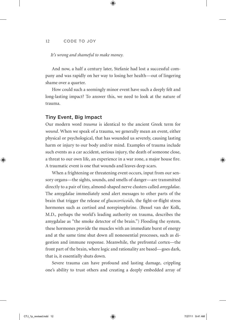### *It's wrong and shameful to make money.*

And now, a half a century later, Stefanie had lost a successful company and was rapidly on her way to losing her health—out of lingering shame over a quarter.

How could such a seemingly minor event have such a deeply felt and long-lasting impact? To answer this, we need to look at the nature of trauma.

### Tiny Event, Big Impact

Our modern word *trauma* is identical to the ancient Greek term for *wound*. When we speak of a trauma, we generally mean an event, either physical or psychological, that has wounded us severely, causing lasting harm or injury to our body and/or mind. Examples of trauma include such events as a car accident, serious injury, the death of someone close, a threat to our own life, an experience in a war zone, a major house fire. A traumatic event is one that wounds and leaves deep scars.

When a frightening or threatening event occurs, input from our sensory organs—the sights, sounds, and smells of danger—are transmitted directly to a pair of tiny, almond-shaped nerve clusters called *amygdalae*. The amygdalae immediately send alert messages to other parts of the brain that trigger the release of *glucocorticoids,* the fight-or-flight stress hormones such as cortisol and norepinephrine. (Bessel van der Kolk, M.D., perhaps the world's leading authority on trauma, describes the amygdalae as "the smoke detector of the brain.") Flooding the system, these hormones provide the muscles with an immediate burst of energy and at the same time shut down all nonessential processes, such as digestion and immune response. Meanwhile, the prefrontal cortex—the front part of the brain, where logic and rationality are based—goes dark, that is, it essentially shuts down.

Severe trauma can have profound and lasting damage, crippling one's ability to trust others and creating a deeply embedded array of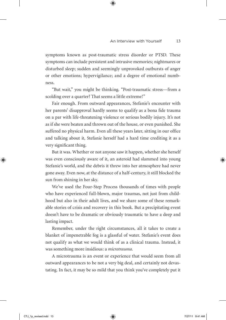symptoms known as post-traumatic stress disorder or PTSD. These symptoms can include persistent and intrusive memories; nightmares or disturbed sleep; sudden and seemingly unprovoked outbursts of anger or other emotions; hypervigilance; and a degree of emotional numbness.

"But wait," you might be thinking. "Post-traumatic stress—from a scolding over a quarter? That seems a little extreme!"

Fair enough. From outward appearances, Stefanie's encounter with her parents' disapproval hardly seems to qualify as a bona fide trauma on a par with life-threatening violence or serious bodily injury. It's not as if she were beaten and thrown out of the house, or even punished. She suffered no physical harm. Even all these years later, sitting in our office and talking about it, Stefanie herself had a hard time crediting it as a very significant thing.

But it was. Whether or not anyone saw it happen, whether she herself was even consciously aware of it, an asteroid had slammed into young Stefanie's world, and the debris it threw into her atmosphere had never gone away. Even now, at the distance of a half-century, it still blocked the sun from shining in her sky.

We've used the Four-Step Process thousands of times with people who have experienced full-blown, major traumas, not just from childhood but also in their adult lives, and we share some of these remarkable stories of crisis and recovery in this book. But a precipitating event doesn't have to be dramatic or obviously traumatic to have a deep and lasting impact.

Remember, under the right circumstances, all it takes to create a blanket of impenetrable fog is a glassful of water. Stefanie's event does not qualify as what we would think of as a clinical trauma. Instead, it was something more insidious: a *microtrauma*.

A microtrauma is an event or experience that would seem from all outward appearances to be not a very big deal, and certainly not devastating. In fact, it may be so mild that you think you've completely put it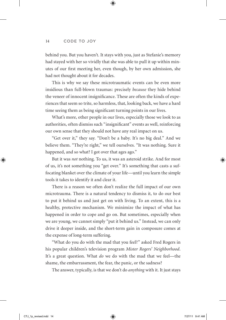behind you. But you haven't. It stays with you, just as Stefanie's memory had stayed with her so vividly that she was able to pull it up within minutes of our first meeting her, even though, by her own admission, she had not thought about it for decades.

This is why we say these microtraumatic events can be even more insidious than full-blown traumas: precisely *because* they hide behind the veneer of innocent insignificance. These are often the kinds of experiences that seem so trite, so harmless, that, looking back, we have a hard time seeing them as being significant turning points in our lives.

What's more, other people in our lives, especially those we look to as authorities, often dismiss such "insignificant" events as well, reinforcing our own sense that they should not have any real impact on us.

"Get over it," they say. "Don't be a baby. It's no big deal." And we believe them. "They're right," we tell ourselves. "It was nothing. Sure it happened, and so what? I got over that ages ago."

But it was *not* nothing. To us, it was an asteroid strike. And for most of us, it's not something you "get over." It's something that casts a suffocating blanket over the climate of your life—until you learn the simple tools it takes to identify it and clear it.

There is a reason we often don't realize the full impact of our own microtrauma. There is a natural tendency to dismiss it, to do our best to put it behind us and just get on with living. To an extent, this is a healthy, protective mechanism. We minimize the impact of what has happened in order to cope and go on. But sometimes, especially when we are young, we cannot simply "put it behind us." Instead, we can only drive it deeper inside, and the short-term gain in composure comes at the expense of long-term suffering.

"What do you do with the mad that you feel?" asked Fred Rogers in his popular children's television program *Mister Rogers' Neighborhood*. It's a great question. What *do* we do with the mad that we feel—the shame, the embarrassment, the fear, the panic, or the sadness?

The answer, typically, is that we don't do *anything* with it. It just stays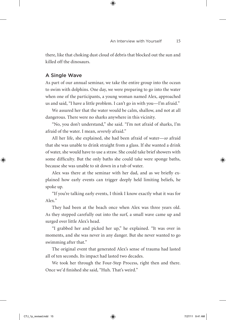there, like that choking dust cloud of debris that blocked out the sun and killed off the dinosaurs.

### A Single Wave

As part of our annual seminar, we take the entire group into the ocean to swim with dolphins. One day, we were preparing to go into the water when one of the participants, a young woman named Alex, approached us and said, "I have a little problem. I can't go in with you—I'm afraid."

We assured her that the water would be calm, shallow, and not at all dangerous. There were no sharks anywhere in this vicinity.

"No, you don't understand," she said. "I'm not afraid of sharks, I'm afraid of the water. I mean, *severely* afraid."

All her life, she explained, she had been afraid of water—*so* afraid that she was unable to drink straight from a glass. If she wanted a drink of water, she would have to use a straw. She could take brief showers with some difficulty. But the only baths she could take were sponge baths, because she was unable to sit down in a tub of water.

Alex was there at the seminar with her dad, and as we briefly explained how early events can trigger deeply held limiting beliefs, he spoke up.

"If you're talking early events, I think I know exactly what it was for Alex."

They had been at the beach once when Alex was three years old. As they stepped carefully out into the surf, a small wave came up and surged over little Alex's head.

"I grabbed her and picked her up," he explained. "It was over in moments, and she was never in any danger. But she never wanted to go swimming after that."

The original event that generated Alex's sense of trauma had lasted all of ten seconds. Its impact had lasted two decades.

We took her through the Four-Step Process, right then and there. Once we'd finished she said, "Huh. That's weird."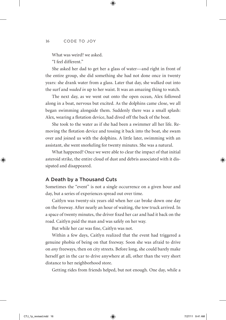What was weird? we asked.

"I feel different."

She asked her dad to get her a glass of water—and right in front of the entire group, she did something she had not done once in twenty years: she drank water from a glass. Later that day, she walked out into the surf and *waded in* up to her waist. It was an amazing thing to watch.

The next day, as we went out onto the open ocean, Alex followed along in a boat, nervous but excited. As the dolphins came close, we all began swimming alongside them. Suddenly there was a small splash: Alex, wearing a flotation device, had dived off the back of the boat.

She took to the water as if she had been a swimmer all her life. Removing the flotation device and tossing it back into the boat, she swam over and joined us with the dolphins. A little later, swimming with an assistant, she went snorkeling for twenty minutes. She was a natural.

What happened? Once we were able to clear the impact of that initial asteroid strike, the entire cloud of dust and debris associated with it dissipated and disappeared.

### A Death by a Thousand Cuts

Sometimes the "event" is not a single occurrence on a given hour and day, but a series of experiences spread out over time.

Caitlyn was twenty-six years old when her car broke down one day on the freeway. After nearly an hour of waiting, the tow truck arrived. In a space of twenty minutes, the driver fixed her car and had it back on the road. Caitlyn paid the man and was safely on her way.

But while her car was fine, Caitlyn was not.

Within a few days, Caitlyn realized that the event had triggered a genuine phobia of being on that freeway. Soon she was afraid to drive on *any* freeways, then on city streets. Before long, she could barely make herself get in the car to drive anywhere at all, other than the very short distance to her neighborhood store.

Getting rides from friends helped, but not enough. One day, while a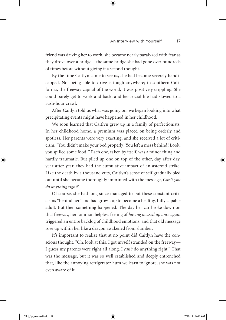friend was driving her to work, she became nearly paralyzed with fear as they drove over a bridge—the same bridge she had gone over hundreds of times before without giving it a second thought.

By the time Caitlyn came to see us, she had become severely handicapped. Not being able to drive is tough anywhere; in southern California, the freeway capital of the world, it was positively crippling. She could barely get to work and back, and her social life had slowed to a rush-hour crawl.

After Caitlyn told us what was going on, we began looking into what precipitating events might have happened in her childhood.

We soon learned that Caitlyn grew up in a family of perfectionists. In her childhood home, a premium was placed on being orderly and spotless. Her parents were very exacting, and she received a lot of criticism. "You didn't make your bed properly! You left a mess behind! Look, you spilled some food!" Each one, taken by itself, was a minor thing and hardly traumatic. But piled up one on top of the other, day after day, year after year, they had the cumulative impact of an asteroid strike. Like the death by a thousand cuts, Caitlyn's sense of self gradually bled out until she became thoroughly imprinted with the message, *Can't you do anything right?*

Of course, she had long since managed to put these constant criticisms "behind her" and had grown up to become a healthy, fully capable adult. But then something happened. The day her car broke down on that freeway, her familiar, helpless feeling of *having messed up once again*  triggered an entire backlog of childhood emotions, and that old message rose up within her like a dragon awakened from slumber.

It's important to realize that at no point did Caitlyn have the conscious thought, "Oh, look at this, I got myself stranded on the freeway— I guess my parents were right all along. I *can't* do anything right." That was the message, but it was so well established and deeply entrenched that, like the annoying refrigerator hum we learn to ignore, she was not even aware of it.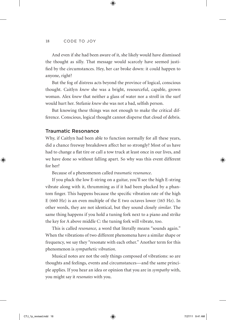And even if she had been aware of it, she likely would have dismissed the thought as silly. That message would scarcely have seemed justified by the circumstances. Hey, her car broke down: it could happen to anyone, right?

But the fog of distress acts beyond the province of logical, conscious thought. Caitlyn *knew* she was a bright, resourceful, capable, grown woman. Alex *knew* that neither a glass of water nor a stroll in the surf would hurt her. Stefanie *knew* she was not a bad, selfish person.

But knowing these things was not enough to make the critical difference. Conscious, logical thought cannot disperse that cloud of debris.

### Traumatic Resonance

Why, if Caitlyn had been able to function normally for all these years, did a chance freeway breakdown affect her so strongly? Most of us have had to change a flat tire or call a tow truck at least once in our lives, and we have done so without falling apart. So why was this event different for her?

Because of a phenomenon called *traumatic resonance*.

If you pluck the low E-string on a guitar, you'll see the high E-string vibrate along with it, thrumming as if it had been plucked by a phantom finger. This happens because the specific vibration rate of the high E (660 Hz) is an even multiple of the E two octaves lower (165 Hz). In other words, they are not identical, but they sound closely *similar*. The same thing happens if you hold a tuning fork next to a piano and strike the key for A above middle C: the tuning fork will vibrate, too.

This is called *resonance,* a word that literally means "sounds again." When the vibrations of two different phenomena have a similar shape or frequency, we say they "resonate with each other." Another term for this phenomenon is *sympathetic vibration*.

Musical notes are not the only things composed of vibrations: so are thoughts and feelings, events and circumstances—and the same principle applies. If you hear an idea or opinion that you are in *sympathy* with, you might say it *resonates* with you.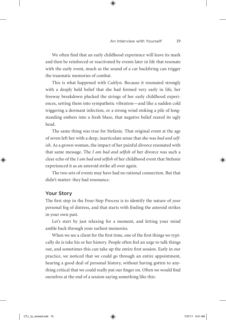We often find that an early childhood experience will leave its mark and then be reinforced or reactivated by events later in life that resonate with the early event, much as the sound of a car backfiring can trigger the traumatic memories of combat.

This is what happened with Caitlyn. Because it resonated strongly with a deeply held belief that she had formed very early in life, her freeway breakdown plucked the strings of her early childhood experiences, setting them into sympathetic vibration—and like a sudden cold triggering a dormant infection, or a strong wind stoking a pile of longstanding embers into a fresh blaze, that negative belief reared its ugly head.

The same thing was true for Stefanie. That original event at the age of seven left her with a deep, inarticulate sense that she was *bad and selfish*. As a grown woman, the impact of her painful divorce resonated with that same message. The *I am bad and selfish* of her divorce was such a clear echo of the *I am bad and selfish* of her childhood event that Stefanie experienced it as an asteroid strike all over again.

The two sets of events may have had no rational connection. But that didn't matter: they had resonance.

### Your Story

The first step in the Four-Step Process is to identify the nature of *your* personal fog of distress, and that starts with finding the asteroid strikes in your own past.

Let's start by just relaxing for a moment, and letting your mind amble back through your earliest memories.

When we see a client for the first time, one of the first things we typically do is take his or her history. People often feel an urge to talk things out, and sometimes this can take up the entire first session. Early in our practice, we noticed that we could go through an entire appointment, hearing a good deal of personal history, without having gotten to anything critical that we could really put our finger on. Often we would find ourselves at the end of a session saying something like this: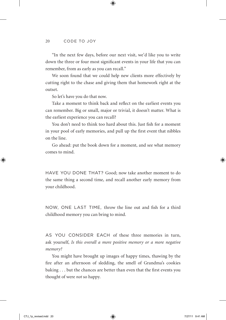"In the next few days, before our next visit, we'd like you to write down the three or four most significant events in your life that you can remember, from as early as you can recall."

We soon found that we could help new clients more effectively by cutting right to the chase and giving them that homework right at the outset.

So let's have you do that now.

Take a moment to think back and reflect on the earliest events you can remember. Big or small, major or trivial, it doesn't matter. What is the earliest experience you can recall?

You don't need to think too hard about this. Just fish for a moment in your pool of early memories, and pull up the first event that nibbles on the line.

Go ahead: put the book down for a moment, and see what memory comes to mind.

HAVE YOU DONE THAT? Good; now take another moment to do the same thing a second time, and recall another early memory from your childhood.

Now, one last time, throw the line out and fish for a third childhood memory you can bring to mind.

AS YOU CONSIDER EACH of these three memories in turn, ask yourself, *Is this overall a more positive memory or a more negative memory?*

You might have brought up images of happy times, thawing by the fire after an afternoon of sledding, the smell of Grandma's cookies baking . . . but the chances are better than even that the first events you thought of were *not* so happy.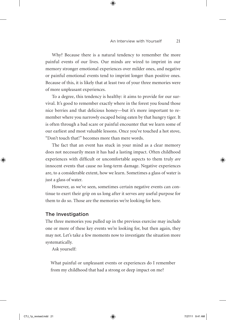Why? Because there is a natural tendency to remember the more painful events of our lives. Our minds are wired to imprint in our memory stronger emotional experiences over milder ones, and negative or painful emotional events tend to imprint longer than positive ones. Because of this, it is likely that at least two of your three memories were of more unpleasant experiences.

To a degree, this tendency is healthy: it aims to provide for our survival. It's good to remember exactly where in the forest you found those nice berries and that delicious honey—but it's more important to remember where you narrowly escaped being eaten by that hungry tiger. It is often through a bad scare or painful encounter that we learn some of our earliest and most valuable lessons. Once you've touched a hot stove, "Don't touch that!" becomes more than mere words.

The fact that an event has stuck in your mind as a clear memory does not necessarily mean it has had a lasting impact. Often childhood experiences with difficult or uncomfortable aspects to them truly *are*  innocent events that cause no long-term damage. Negative experiences are, to a considerable extent, how we learn. Sometimes a glass of water is just a glass of water.

However, as we've seen, sometimes certain negative events can continue to exert their grip on us long after it serves any useful purpose for them to do so. Those are the memories we're looking for here.

### The Investigation

The three memories you pulled up in the previous exercise may include one or more of these key events we're looking for, but then again, they may not. Let's take a few moments now to investigate the situation more systematically.

Ask yourself:

What painful or unpleasant events or experiences do I remember from my childhood that had a strong or deep impact on me?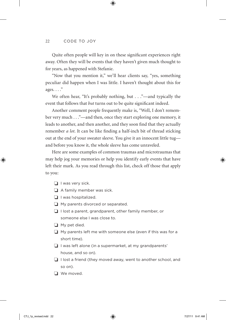Quite often people will key in on these significant experiences right away. Often they will be events that they haven't given much thought to for years, as happened with Stefanie.

"Now that you mention it," we'll hear clients say, "yes, something peculiar did happen when I was little. I haven't thought about this for ages.  $\ldots$ "

We often hear, "It's probably nothing, but . . ."—and typically the event that follows that *but* turns out to be quite significant indeed.

Another comment people frequently make is, "Well, I don't remember very much . . ."—and then, once they start exploring one memory, it leads to another, and then another, and they soon find that they actually remember *a lot*. It can be like finding a half-inch bit of thread sticking out at the end of your sweater sleeve. You give it an innocent little tug and before you know it, the whole sleeve has come unraveled.

Here are some examples of common traumas and microtraumas that may help jog your memories or help you identify early events that have left their mark. As you read through this list, check off those that apply to you:

- ❏❏ I was very sick.
- ❏❏ A family member was sick.

❏❏ I was hospitalized.

- ❏❏ My parents divorced or separated.
- ❏❏ I lost a parent, grandparent, other family member, or someone else I was close to.
- ❏❏ My pet died.
- ❏❏ My parents left me with someone else (even if this was for a short time).
- ❏❏ I was left alone (in a supermarket, at my grandparents' house, and so on).
- ❏❏ I lost a friend (they moved away, went to another school, and so on).
- ❏❏ We moved.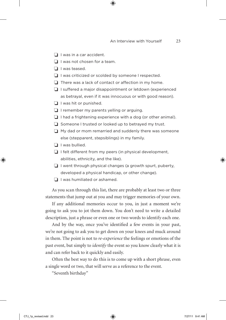- ❏❏ I was in a car accident.
- ❏❏ I was not chosen for a team.
- ❏❏ I was teased.
- ❏❏ I was criticized or scolded by someone I respected.
- ❏❏ There was a lack of contact or affection in my home.
- ❏❏ I suffered a major disappointment or letdown (experienced as betrayal, even if it was innocuous or with good reason).
- ❏❏ I was hit or punished.
- ❏❏ I remember my parents yelling or arguing.
- ❏❏ I had a frightening experience with a dog (or other animal).
- ❏❏ Someone I trusted or looked up to betrayed my trust.
- ❏❏ My dad or mom remarried and suddenly there was someone else (stepparent, stepsiblings) in my family.
- ❏❏ I was bullied.
- ❏❏ I felt different from my peers (in physical development, abilities, ethnicity, and the like).
- ❏❏ I went through physical changes (a growth spurt, puberty, developed a physical handicap, or other change).
- ❏❏ I was humiliated or ashamed.

As you scan through this list, there are probably at least two or three statements that jump out at you and may trigger memories of your own.

If any additional memories occur to you, in just a moment we're going to ask you to jot them down. You don't need to write a detailed description, just a phrase or even one or two words to identify each one.

And by the way, once you've identified a few events in your past, we're not going to ask you to get down on your knees and muck around in them. The point is not to *re-experience* the feelings or emotions of the past event, but simply to *identify* the event so you know clearly what it is and can refer back to it quickly and easily.

Often the best way to do this is to come up with a short phrase, even a single word or two, that will serve as a reference to the event.

"Seventh birthday"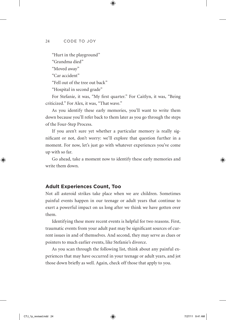"Hurt in the playground"

"Grandma died"

"Moved away"

"Car accident"

"Fell out of the tree out back"

"Hospital in second grade"

For Stefanie, it was, "My first quarter." For Caitlyn, it was, "Being criticized." For Alex, it was, "That wave."

As you identify these early memories, you'll want to write them down because you'll refer back to them later as you go through the steps of the Four-Step Process.

If you aren't sure yet whether a particular memory is really significant or not, don't worry: we'll explore that question further in a moment. For now, let's just go with whatever experiences you've come up with so far.

Go ahead, take a moment now to identify these early memories and write them down.

### **Adult Experiences Count, Too**

Not all asteroid strikes take place when we are children. Sometimes painful events happen in our teenage or adult years that continue to exert a powerful impact on us long after we think we have gotten over them.

Identifying these more recent events is helpful for two reasons. First, traumatic events from your adult past may be significant sources of current issues in and of themselves. And second, they may serve as clues or pointers to much earlier events, like Stefanie's divorce.

As you scan through the following list, think about any painful experiences that may have occurred in your teenage or adult years, and jot those down briefly as well. Again, check off those that apply to you.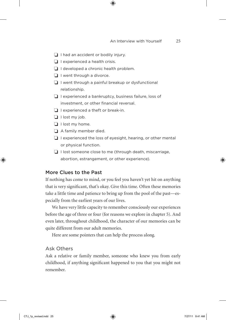- ❏❏ I had an accident or bodily injury.
- ❏❏ I experienced a health crisis.
- ❏❏ I developed a chronic health problem.
- ❏❏ I went through a divorce.
- ❏❏ I went through a painful breakup or dysfunctional relationship.
- ❏❏ I experienced a bankruptcy, business failure, loss of investment, or other financial reversal.
- ❏❏ I experienced a theft or break-in.
- ❏❏ I lost my job.
- ❏❏ I lost my home.
- ❏❏ A family member died.
- ❏❏ I experienced the loss of eyesight, hearing, or other mental or physical function.
- ❏❏ I lost someone close to me (through death, miscarriage, abortion, estrangement, or other experience).

### More Clues to the Past

If nothing has come to mind, or you feel you haven't yet hit on anything that is very significant, that's okay. Give this time. Often these memories take a little time and patience to bring up from the pool of the past—especially from the earliest years of our lives.

We have very little capacity to remember consciously our experiences before the age of three or four (for reasons we explore in chapter 5). And even later, throughout childhood, the character of our memories can be quite different from our adult memories.

Here are some pointers that can help the process along.

### Ask Others

Ask a relative or family member, someone who knew you from early childhood, if anything significant happened to you that you might not remember.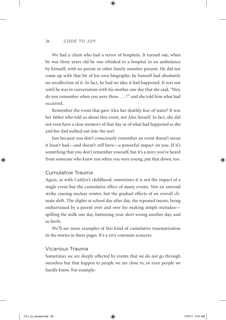We had a client who had a terror of hospitals. It turned out, when he was three years old he was whisked to a hospital in an ambulance by himself, with no parent or other family member present. He did not come up with that bit of his own biography; he himself had absolutely no recollection of it. In fact, he had no idea it had happened. It was not until he was in conversation with his mother one day that she said, "Hey, do you remember when you were three . . . ?" and she told him what had occurred.

Remember the event that gave Alex her deathly fear of water? It was her father who told us about this event, not Alex herself. In fact, she did not even have a clear memory of that day or of what had happened as she and her dad walked out into the surf.

Just because you don't consciously remember an event doesn't mean it hasn't had—and doesn't *still* have—a powerful impact on you. If it's something that you don't remember yourself, but it's a story you've heard from someone who knew you when you were young, put that down, too.

### Cumulative Trauma

Again, as with Caitlyn's childhood, sometimes it is not the impact of a single event but the cumulative effect of many events. Not an asteroid strike causing nuclear winter, but the gradual effects of an overall climate shift. The slights at school day after day, the repeated taunts, being embarrassed by a parent over and over for making simple mistakes spilling the milk one day, buttoning your shirt wrong another day, and so forth.

We'll see more examples of this kind of cumulative traumatization in the stories in these pages. It's a very common scenario.

### Vicarious Trauma

Sometimes we are deeply affected by events that we do not go through ourselves but that happen to people we are close to, or even people we hardly know. For example: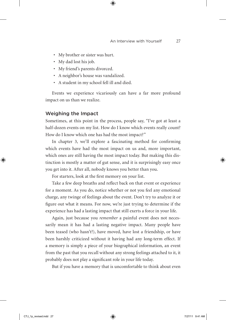- My brother or sister was hurt.
- My dad lost his job.
- My friend's parents divorced.
- A neighbor's house was vandalized.
- • A student in my school fell ill and died.

Events we experience vicariously can have a far more profound impact on us than we realize.

### Weighing the Impact

Sometimes, at this point in the process, people say, "I've got at least a half-dozen events on my list. How do I know which events really count? How do I know which one has had the most impact?"

In chapter 3, we'll explore a fascinating method for confirming which events have had the most impact on us and, more important, which ones are still having the most impact today. But making this distinction is mostly a matter of gut sense, and it is surprisingly easy once you get into it. After all, nobody knows you better than you.

For starters, look at the first memory on your list.

Take a few deep breaths and reflect back on that event or experience for a moment. As you do, notice whether or not you feel any emotional charge, any twinge of feelings about the event. Don't try to analyze it or figure out what it means. For now, we're just trying to determine if the experience has had a lasting impact that still exerts a force in your life.

Again, just because you *remember* a painful event does not necessarily mean it has had a lasting negative impact. Many people have been teased (who hasn't?), have moved, have lost a friendship, or have been harshly criticized without it having had any long-term effect. If a memory is simply a piece of your biographical information, an event from the past that you recall without any strong feelings attached to it, it probably does not play a significant role in your life today.

But if you have a memory that is uncomfortable to think about even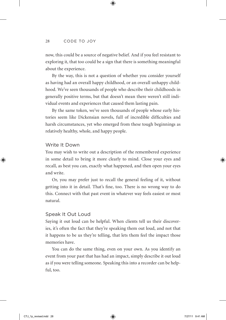now, this could be a source of negative belief. And if you feel resistant to exploring it, that too could be a sign that there is something meaningful about the experience.

By the way, this is not a question of whether you consider yourself as having had an overall happy childhood, or an overall unhappy childhood. We've seen thousands of people who describe their childhoods in generally positive terms, but that doesn't mean there weren't still individual events and experiences that caused them lasting pain.

By the same token, we've seen thousands of people whose early histories seem like Dickensian novels, full of incredible difficulties and harsh circumstances, yet who emerged from these tough beginnings as relatively healthy, whole, and happy people.

### Write It Down

You may wish to write out a description of the remembered experience in some detail to bring it more clearly to mind. Close your eyes and recall, as best you can, exactly what happened, and then open your eyes and write.

Or, you may prefer just to recall the general feeling of it, without getting into it in detail. That's fine, too. There is no wrong way to do this. Connect with that past event in whatever way feels easiest or most natural.

### Speak It Out Loud

Saying it out loud can be helpful. When clients tell us their discoveries, it's often the fact that they're speaking them out loud, and not that it happens to be us they're telling, that lets them feel the impact those memories have.

You can do the same thing, even on your own. As you identify an event from your past that has had an impact, simply describe it out loud as if you were telling someone. Speaking this into a recorder can be helpful, too.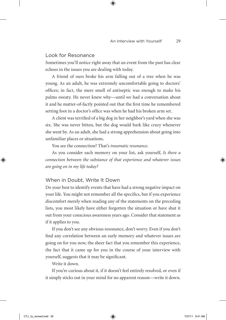### Look for Resonance

Sometimes you'll notice right away that an event from the past has clear echoes in the issues you are dealing with today.

A friend of ours broke his arm falling out of a tree when he was young. As an adult, he was extremely uncomfortable going to doctors' offices; in fact, the mere smell of antiseptic was enough to make his palms sweaty. He never knew why—until we had a conversation about it and he matter-of-factly pointed out that the first time he remembered setting foot in a doctor's office was when he had his broken arm set.

A client was terrified of a big dog in her neighbor's yard when she was six. She was never bitten, but the dog would bark like crazy whenever she went by. As an adult, she had a strong apprehension about going into unfamiliar places or situations.

You see the connection? That's *traumatic resonance*.

As you consider each memory on your list, ask yourself, *Is there a connection between the substance of that experience and whatever issues are going on in my life today?*

### When in Doubt, Write It Down

Do your best to identify events that have had a strong negative impact on your life. You might not remember all the specifics, but if you experience discomfort merely when reading any of the statements on the preceding lists, you most likely have either forgotten the situation or have shut it out from your conscious awareness years ago. Consider that statement as if it applies to you.

If you don't see any obvious resonance, don't worry. Even if you don't find any correlation between an early memory and whatever issues are going on for you now, the sheer fact that you remember this experience, the fact that it came up for you in the course of your interview with yourself, suggests that it may be significant.

Write it down.

If you're curious about it, if it doesn't feel entirely resolved, or even if it simply sticks out in your mind for no apparent reason—write it down.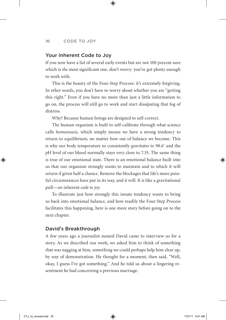### Your Inherent Code to Joy

If you now have a list of several early events but are not 100 percent sure which is *the* most significant one, don't worry: you've got plenty enough to work with.

This is the beauty of the Four-Step Process: it's extremely forgiving. In other words, you don't have to worry about whether you are "getting this right." Even if you have no more than just a little information to go on, the process will still go to work and start dissipating that fog of distress.

Why? Because human beings are designed to self-correct.

The human organism is built to self-calibrate through what science calls *homeostasis,* which simply means we have a strong tendency to return to equilibrium, no matter how out of balance we become. This is why our body temperature so consistently gravitates to 98.6˚ and the pH level of our blood normally stays very close to 7.35. The same thing is true of our emotional state. There is an emotional balance built into us that our organism strongly wants to maintain and to which it will return if given half a chance. Remove the blockages that life's more painful circumstances have put in its way, and it will. It is like a gravitational pull—an inherent *code to joy*.

To illustrate just how strongly this innate tendency wants to bring us back into emotional balance, and how readily the Four-Step Process facilitates this happening, here is one more story before going on to the next chapter.

### David's Breakthrough

A few years ago a journalist named David came to interview us for a story. As we described our work, we asked him to think of something that was nagging at him, something we could perhaps help him clear up, by way of demonstration. He thought for a moment, then said, "Well, okay, I guess I've got something." And he told us about a lingering resentment he had concerning a previous marriage.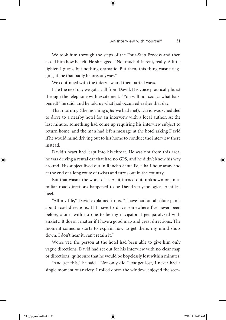We took him through the steps of the Four-Step Process and then asked him how he felt. He shrugged. "Not much different, really. A little lighter, I guess, but nothing dramatic. But then, this thing wasn't nagging at me that badly before, anyway."

We continued with the interview and then parted ways.

Late the next day we got a call from David. His voice practically burst through the telephone with excitement. "You will not *believe* what happened!" he said, and he told us what had occurred earlier that day.

That morning (the morning *after* we had met), David was scheduled to drive to a nearby hotel for an interview with a local author. At the last minute, something had come up requiring his interview subject to return home, and the man had left a message at the hotel asking David if he would mind driving out to his home to conduct the interview there instead.

David's heart had leapt into his throat. He was not from this area, he was driving a rental car that had no GPS, and he didn't know his way around. His subject lived out in Rancho Santa Fe, a half-hour away and at the end of a long route of twists and turns out in the country.

But that wasn't the worst of it. As it turned out, unknown or unfamiliar road directions happened to be David's psychological Achilles' heel.

"All my life," David explained to us, "I have had an absolute panic about road directions. If I have to drive somewhere I've never been before, alone, with no one to be my navigator, I get paralyzed with anxiety. It doesn't matter if I have a good map and great directions. The moment someone starts to explain how to get there, my mind shuts down. I don't hear it, can't retain it."

Worse yet, the person at the hotel had been able to give him only vague directions. David had set out for his interview with no clear map or directions, quite sure that he would be hopelessly lost within minutes.

"And get this," he said. "Not only did I *not* get lost, I never had a single moment of anxiety. I rolled down the window, enjoyed the scen